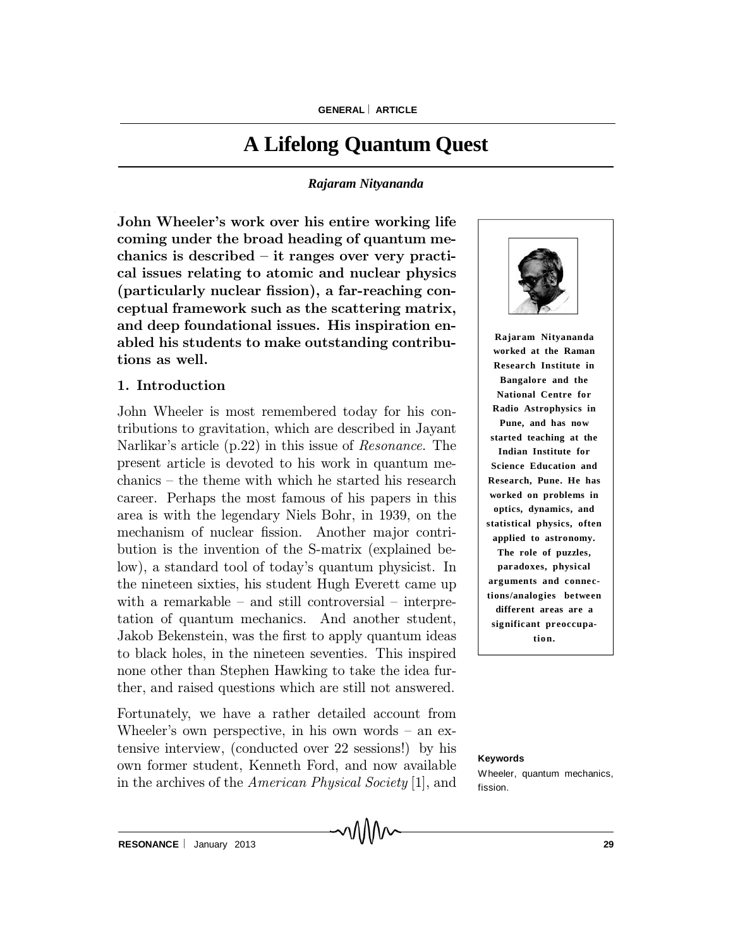# **A Lifelong Quantum Quest**

*Rajaram Nityananda*

John Wheeler's work over his entire working life coming under the broad heading of quantum mechanics is described  $-$  it ranges over very practical issues relating to atomic and nuclear physics  $\alpha$  (particularly nuclear fission), a far-reaching conceptual framework such as the scattering matrix, and deep foundational issues. His inspiration enabled his students to make outstanding contributions as well.

# 1. Introduction

John Wheeler is most remembered today for his contributions to gravitation, which are described in Jayant Narlikar's article (p.22) in this issue of Resonance. The present article is devoted to his work in quantum me- ${\rm chains}$  – the theme with which he started his research career. Perhaps the most famous of his papers in this area is with the legendary Niels Bohr, in 1939, on the mechanism of nuclear fission. Another major contribution is the invention of the S-matrix (explained below), a standard tool of today's quantum physicist. In the nineteen sixties, his student Hugh Everett came up with a remarkable  $-$  and still controversial  $-$  interpretation of quantum mechanics. And another student, Jakob Bekenstein, was the first to apply quantum ideas to black holes, in the nineteen seventies. This inspired none other than Stephen Hawking to take the idea further, and raised questions which are still not answered.

Fortunately, we have a rather detailed account from Wheeler's own perspective, in his own words  $-$  an extensive interview, (conducted over 22 sessions!) by his own former student, Kenneth Ford, and now available in the archives of the American Physical Society [1], and

∧∧∧∧



**Rajaram Nityananda worked at the Raman Research Institute in Bangalore and the National Centre for Radio Astrophysics in Pune, and has now started teaching at the Indian Institute for Science Education and Research, Pune. He has worked on problems in optics, dynamics, and statistical physics, often applied to astronomy. The role of puzzles, paradoxes, physical arguments and connections/analogies be tween different areas are a significant preoccupation.**

#### **Keywords**

W heeler, quantum mechanics, fission.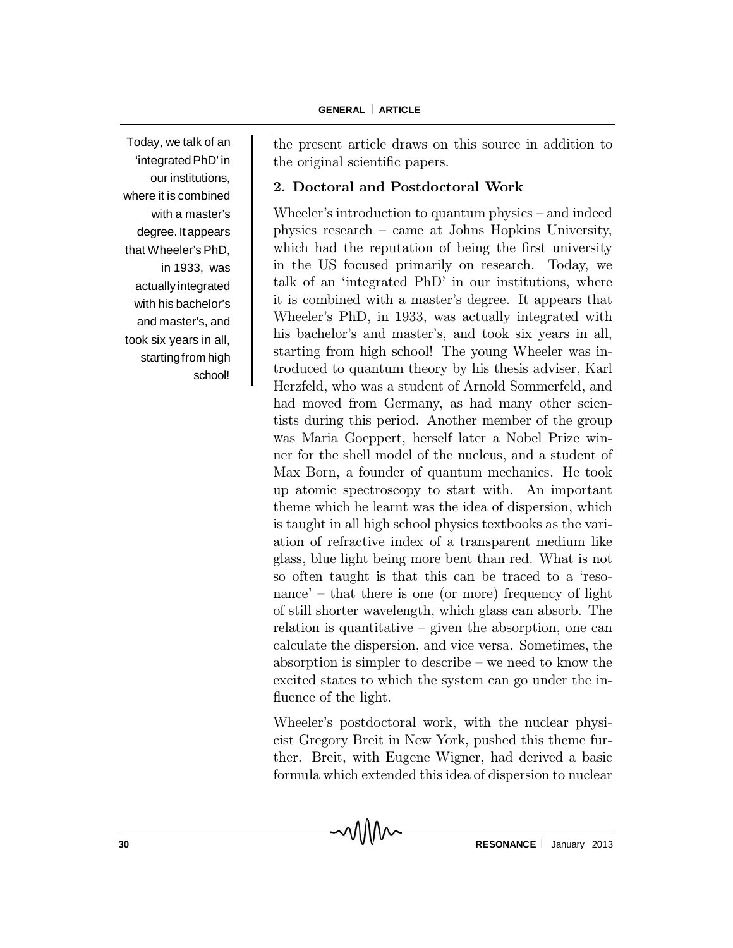Today, we talk of an 'integrated PhD' in our institutions, where it is combined with a master's degree. It appears that Wheeler's PhD, in 1933, was actually integrated with his bachelor's and master's, and took six years in all, starting from high school!

the present article draws on this source in addition to the original scientific papers.

# 2. Doctoral and Postdoctoral Work

Wheeler's introduction to quantum physics  $-$  and indeed physics research { came at Johns Hopkins University, which had the reputation of being the first university in the US focused primarily on research. Today, we talk of an `integrated PhD' in our institutions, where it is combined with a master's degree. It appears that Wheeler's PhD, in 1933, was actually integrated with his bachelor's and master's, and took six years in all, starting from high school! The young Wheeler was introduced to quantum theory by his thesis adviser, Karl Herzfeld, who was a student of Arnold Sommerfeld, and had moved from Germany, as had many other scientists during this period. Another member of the group was Maria Goeppert, herself later a Nobel Prize winner for the shell model of the nucleus, and a student of Max Born, a founder of quantum mechanics. He took up atomic spectroscopy to start with. An important theme which he learnt was the idea of dispersion, which is taught in all high school physics textbooks as the variation of refractive index of a transparent medium like glass, blue light being more bent than red. What is not so often taught is that this can be traced to a 'resonance'  $-$  that there is one (or more) frequency of light of still shorter wavelength, which glass can absorb. The relation is quantitative  $-\frac{1}{2}$  given the absorption, one can calculate the dispersion, and vice versa. Sometimes, the absorption is simpler to describe  $-$  we need to know the excited states to which the system can go under the in fluence of the light.

Wheeler's postdoctoral work, with the nuclear physicist Gregory Breit in New York, pushed this theme further. Breit, with Eugene Wigner, had derived a basic formula which extended this idea of dispersion to nuclear

MM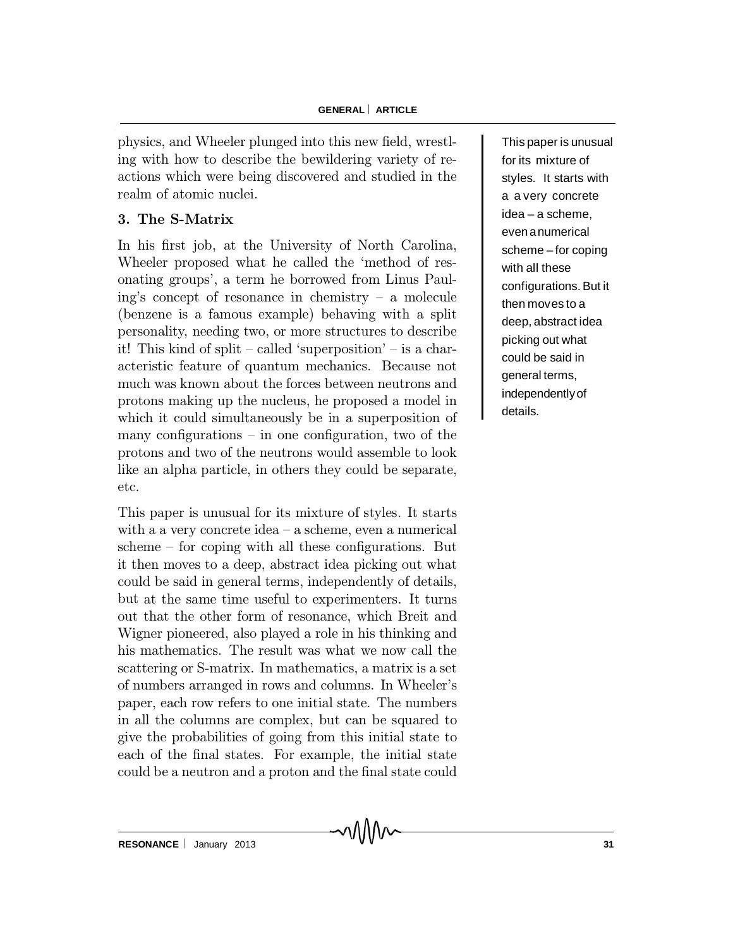physics, and Wheeler plunged into this new field, wrestling with how to describe the bewildering variety of reactions which were being discovered and studied in the realm of atomic nuclei.

# 3. The S-Matrix

In his first job, at the University of North Carolina, Wheeler proposed what he called the `method of resonating groups', a term he borrowed from Linus Pauling's concept of resonance in chemistry  $-$  a molecule (benzene is a famous example) behaving with a split personality, needing two, or more structures to describe it! This kind of split  $-$  called 'superposition'  $-$  is a characteristic feature of quantum mechanics. Because not much was known about the forces between neutrons and protons making up the nucleus, he proposed a model in which it could simultaneously be in a superposition of many configurations  $-$  in one configuration, two of the protons and two of the neutrons would assemble to look like an alpha particle, in others they could be separate, etc.

This paper is unusual for its mixture of styles. It starts with a a very concrete idea  $-$  a scheme, even a numerical  $scheme - for coping with all these configurations. But$ it then moves to a deep, abstract idea picking out what could be said in general terms, independently of details, but at the same time useful to experimenters. It turns out that the other form of resonance, which Breit and Wigner pioneered, also played a role in his thinking and his mathematics. The result was what we now call the scattering or S-matrix. In mathematics, a matrix is a set of numbers arranged in rows and columns. In Wheeler's paper, each row refers to one initial state. The numbers in all the columns are complex, but can be squared to give the probabilities of going from this initial state to each of the final states. For example, the initial state could be a neutron and a proton and the final state could

This paper is unusual for its mixture of styles. It starts with a a very concrete idea – a scheme, even anumerical scheme – for coping with all these configurations. But it then moves to a deep, abstract idea picking out what could be said in general terms, independently of details.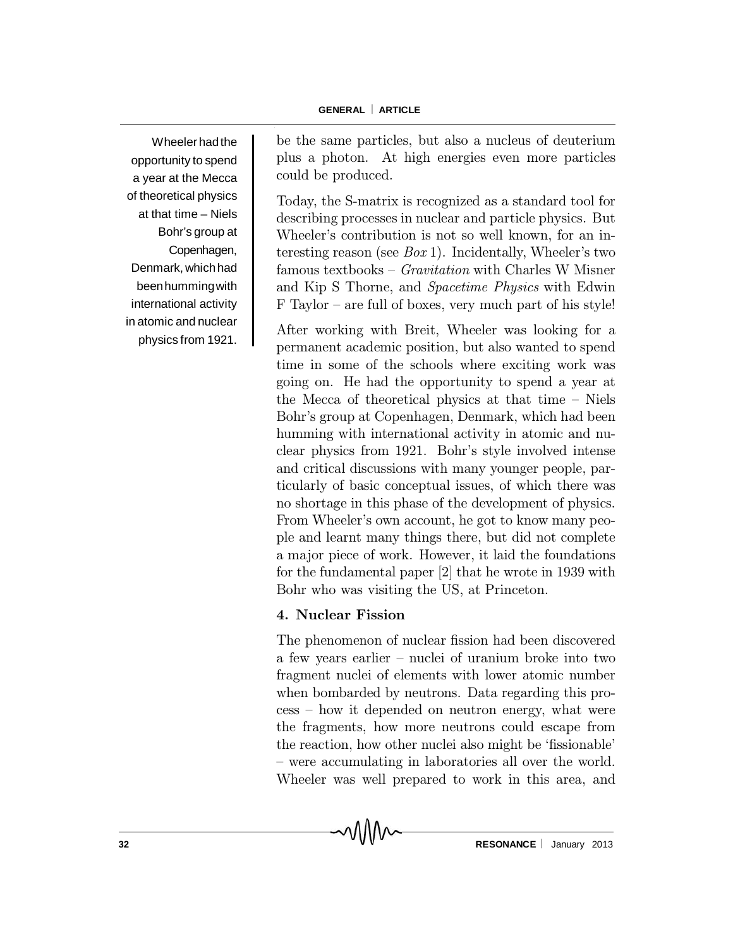Wheeler had the opportunity to spend a year at the Mecca of theoretical physics at that time – Niels Bohr's group at Copenhagen, Denmark, which had beenhummingwith international activity in atomic and nuclear physics from 1921.

be the same particles, but also a nucleus of deuterium plus a photon. At high energies even more particles could be produced.

Today, the S-matrix is recognized as a standard tool for describing processes in nuclear and particle physics. But Wheeler's contribution is not so well known, for an interesting reason (see  $Box 1$ ). Incidentally, Wheeler's two famous textbooks  $-$  *Gravitation* with Charles W Misner and Kip S Thorne, and Spacetime Physics with Edwin  $F$  Taylor – are full of boxes, very much part of his style!

After working with Breit, Wheeler was looking for a permanent academic position, but also wanted to spend time in some of the schools where exciting work was going on. He had the opportunity to spend a year at the Mecca of theoretical physics at that time  $-$  Niels Bohr's group at Copenhagen, Denmark, which had been humming with international activity in atomic and nuclear physics from 1921. Bohr's style involved intense and critical discussions with many younger people, particularly of basic conceptual issues, of which there was no shortage in this phase of the development of physics. From Wheeler's own account, he got to know many people and learnt many things there, but did not complete a major piece of work. However, it laid the foundations for the fundamental paper [2] that he wrote in 1939 with Bohr who was visiting the US, at Princeton.

## 4. Nuclear Fission

℩⋀⋔⋀∼

The phenomenon of nuclear fission had been discovered a few years earlier – nuclei of uranium broke into two fragment nuclei of elements with lower atomic number when bombarded by neutrons. Data regarding this process { how it depended on neutron energy, what were the fragments, how more neutrons could escape from the reaction, how other nuclei also might be 'fissionable' - were accumulating in laboratories all over the world. Wheeler was well prepared to work in this area, and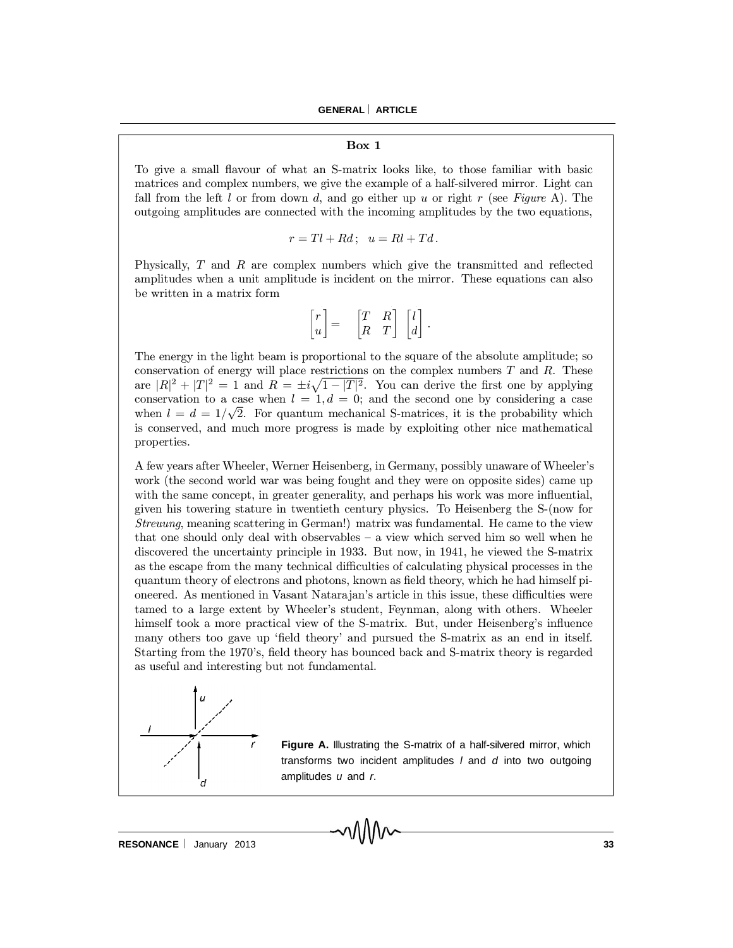#### Box 1

To give a small flavour of what an S-matrix looks like, to those familiar with basic matrices and complex numbers, we give the example of a half-silvered mirror. Light can fall from the left l or from down d, and go either up u or right r (see Figure A). The outgoing amplitudes are connected with the incoming amplitudes by the two equations,

$$
r = Tl + Rd; \quad u = Rl + Td.
$$

Physically,  $T$  and  $R$  are complex numbers which give the transmitted and reflected amplitudes when a unit amplitude is incident on the mirror. These equations can also be written in a matrix form

$$
\begin{bmatrix} r \\ u \end{bmatrix} = \begin{bmatrix} T & R \\ R & T \end{bmatrix} \begin{bmatrix} l \\ d \end{bmatrix}.
$$

The energy in the light beam is proportional to the square of the absolute amplitude; so conservation of energy will place restrictions on the complex numbers  $T$  and  $R$ . These are  $|R|^2 + |T|^2 = 1$  and  $R = \pm i\sqrt{1 - |T|^2}$ . You can derive the first one by applying conservation to a case when  $l = 1, d = 0$ ; and the second one by considering a case when  $l = d = 1/\sqrt{2}$ . For quantum mechanical S-matrices, it is the probability which is conserved, and much more progress is made by exploiting other nice mathematical properties.

A few years after Wheeler, Werner Heisenberg, in Germany, possibly unaware of Wheeler's work (the second world war was being fought and they were on opposite sides) came up with the same concept, in greater generality, and perhaps his work was more influential, given his towering stature in twentieth century physics. To Heisenberg the S-(now for Streuung, meaning scattering in German!) matrix was fundamental. He came to the view that one should only deal with observables  $-$  a view which served him so well when he discovered the uncertainty principle in 1933. But now, in 1941, he viewed the S-matrix as the escape from the many technical difficulties of calculating physical processes in the quantum theory of electrons and photons, known as field theory, which he had himself pioneered. As mentioned in Vasant Natarajan's article in this issue, these difficulties were tamed to a large extent by Wheeler's student, Feynman, along with others. Wheeler himself took a more practical view of the S-matrix. But, under Heisenberg's influence many others too gave up 'field theory' and pursued the S-matrix as an end in itself. Starting from the 1970's, field theory has bounced back and S-matrix theory is regarded as useful and interesting but not fundamental.



**Figure A.** Illustrating the S-matrix of a half-silvered mirror, which transforms two incident amplitudes *l* and *d* into two outgoing amplitudes *u* and *r*.

**RESONANCE**  $\begin{bmatrix} \end{bmatrix}$  January 2013 **33**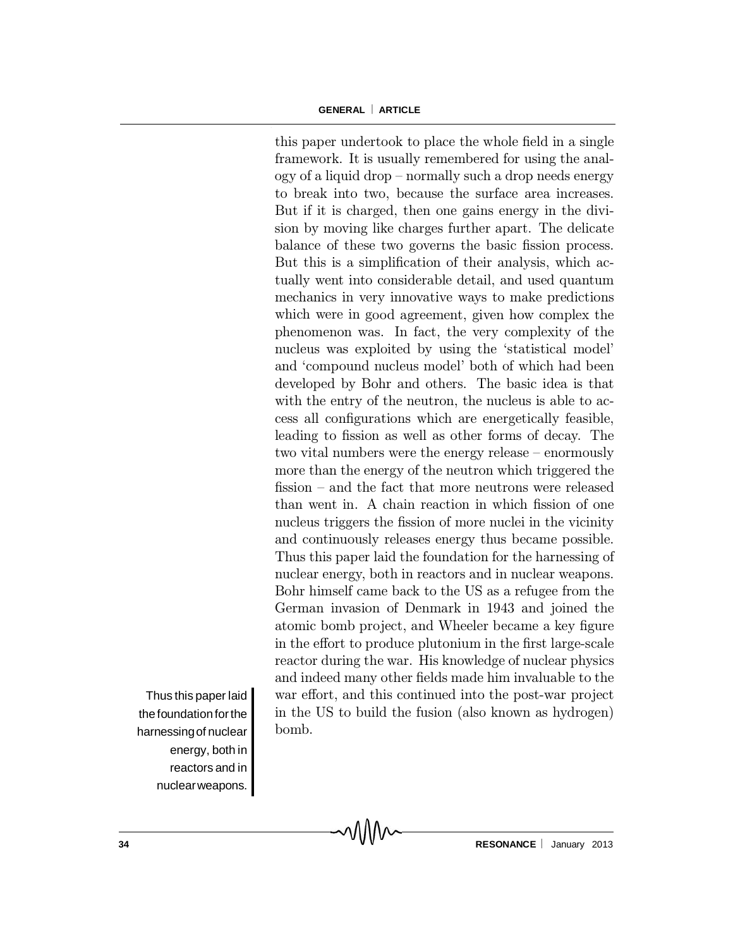#### **GENERAL** ¨ **ARTICLE**

MW

this paper undertook to place the whole field in a single framework. It is usually remembered for using the analogy of a liquid drop { normally such a drop needs energy to break into two, because the surface area increases. But if it is charged, then one gains energy in the division by moving like charges further apart. The delicate balance of these two governs the basic fission process. But this is a simplification of their analysis, which actually went into considerable detail, and used quantum mechanics in very innovative ways to make predictions which were in good agreement, given how complex the phenomenon was. In fact, the very complexity of the nucleus was exploited by using the `statistical model' and `compound nucleus model' both of which had been developed by Bohr and others. The basic idea is that with the entry of the neutron, the nucleus is able to access all configurations which are energetically feasible, leading to fission as well as other forms of decay. The two vital numbers were the energy release  $-$  enormously more than the energy of the neutron which triggered the  $fission - and the fact that more neutrons were released$ than went in. A chain reaction in which fission of one nucleus triggers the fission of more nuclei in the vicinity and continuously releases energy thus became possible. Thus this paper laid the foundation for the harnessing of nuclear energy, both in reactors and in nuclear weapons. Bohr himself came back to the US as a refugee from the German invasion of Denmark in 1943 and joined the atomic bomb project, and Wheeler became a key figure in the effort to produce plutonium in the first large-scale reactor during the war. His knowledge of nuclear physics and indeed many other fields made him invaluable to the war effort, and this continued into the post-war project in the US to build the fusion (also known as hydrogen) bomb.

Thus this paper laid the foundation for the harnessingof nuclear energy, both in reactors and in nuclearweapons.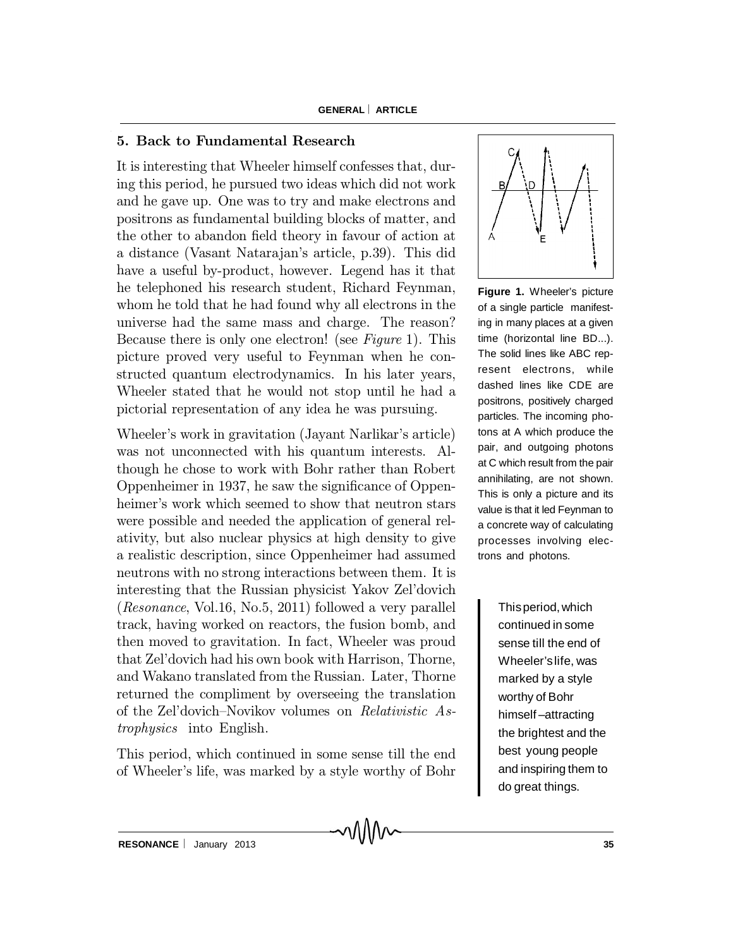### 5. Back to Fundamental Research

It is interesting that Wheeler himself confesses that, during this period, he pursued two ideas which did not work and he gave up. One was to try and make electrons and positrons as fundamental building blocks of matter, and the other to abandon field theory in favour of action at a distance (Vasant Natarajan's article, p.39). This did have a useful by-product, however. Legend has it that he telephoned his research student, Richard Feynman, whom he told that he had found why all electrons in the universe had the same mass and charge. The reason? Because there is only one electron! (see Figure 1). This picture proved very useful to Feynman when he constructed quantum electrodynamics. In his later years, Wheeler stated that he would not stop until he had a pictorial representation of any idea he was pursuing.

Wheeler's work in gravitation (Jayant Narlikar's article) was not unconnected with his quantum interests. Although he chose to work with Bohr rather than Robert Oppenheimer in 1937, he saw the significance of Oppenheimer's work which seemed to show that neutron stars were possible and needed the application of general relativity, but also nuclear physics at high density to give a realistic description, since Oppenheimer had assumed neutrons with no strong interactions between them. It is interesting that the Russian physicist Yakov Zel'dovich (Resonance, Vol.16, No.5, 2011) followed a very parallel track, having worked on reactors, the fusion bomb, and then moved to gravitation. In fact, Wheeler was proud that Zel'dovich had his own book with Harrison, Thorne, and Wakano translated from the Russian. Later, Thorne returned the compliment by overseeing the translation of the Zel'dovich-Novikov volumes on Relativistic Astrophysics into English.

This period, which continued in some sense till the end of Wheeler's life, was marked by a style worthy of Bohr



**Figure 1.** Wheeler's picture of a single particle manifesting in many places at a given time (horizontal line BD...). The solid lines like ABC represent electrons, while dashed lines like CDE are positrons, positively charged particles. The incoming photons at A which produce the pair, and outgoing photons at C which result from the pair annihilating, are not shown. This is only a picture and its value is that it led Feynman to a concrete way of calculating processes involving electrons and photons.

> This period, which continued in some sense till the end of Wheeler's life, was marked by a style worthy of Bohr himself –attracting the brightest and the best young people and inspiring them to do great things.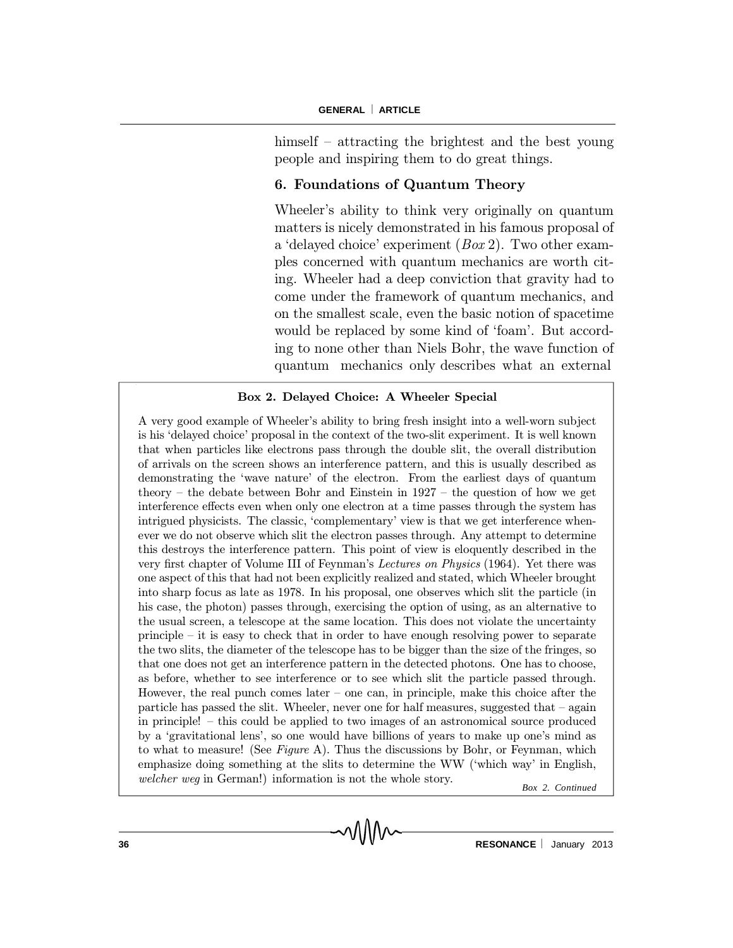#### **GENERAL** ¨ **ARTICLE**

himself – attracting the brightest and the best young people and inspiring them to do great things.

## 6. Foundations of Quantum Theory

Wheeler's ability to think very originally on quantum matters is nicely demonstrated in his famous proposal of a 'delayed choice' experiment  $(Box 2)$ . Two other examples concerned with quantum mechanics are worth citing. Wheeler had a deep conviction that gravity had to come under the framework of quantum mechanics, and on the smallest scale, even the basic notion of spacetime would be replaced by some kind of 'foam'. But according to none other than Niels Bohr, the wave function of quantum mechanics only describes what an external

#### Box 2. Delayed Choice: A Wheeler Special

A very good example of Wheeler's ability to bring fresh insight into a well-worn subject is his 'delayed choice' proposal in the context of the two-slit experiment. It is well known that when particles like electrons pass through the double slit, the overall distribution of arrivals on the screen shows an interference pattern, and this is usually described as demonstrating the `wave nature' of the electron. From the earliest days of quantum theory  $-$  the debate between Bohr and Einstein in 1927  $-$  the question of how we get interference effects even when only one electron at a time passes through the system has intrigued physicists. The classic, 'complementary' view is that we get interference whenever we do not observe which slit the electron passes through. Any attempt to determine this destroys the interference pattern. This point of view is eloquently described in the very first chapter of Volume III of Feynman's Lectures on Physics (1964). Yet there was one aspect of this that had not been explicitly realized and stated, which Wheeler brought into sharp focus as late as 1978. In his proposal, one observes which slit the particle (in his case, the photon) passes through, exercising the option of using, as an alternative to the usual screen, a telescope at the same location. This does not violate the uncertainty principle  $-$  it is easy to check that in order to have enough resolving power to separate the two slits, the diameter of the telescope has to be bigger than the size of the fringes, so that one does not get an interference pattern in the detected photons. One has to choose, as before, whether to see interference or to see which slit the particle passed through. However, the real punch comes later  $-$  one can, in principle, make this choice after the particle has passed the slit. Wheeler, never one for half measures, suggested that  $-\gamma$  again in principle! { this could be applied to two images of an astronomical source produced by a `gravitational lens', so one would have billions of years to make up one's mind as to what to measure! (See Figure A). Thus the discussions by Bohr, or Feynman, which emphasize doing something at the slits to determine the WW ('which way' in English, welcher weg in German!) information is not the whole story. *Box 2. Continued*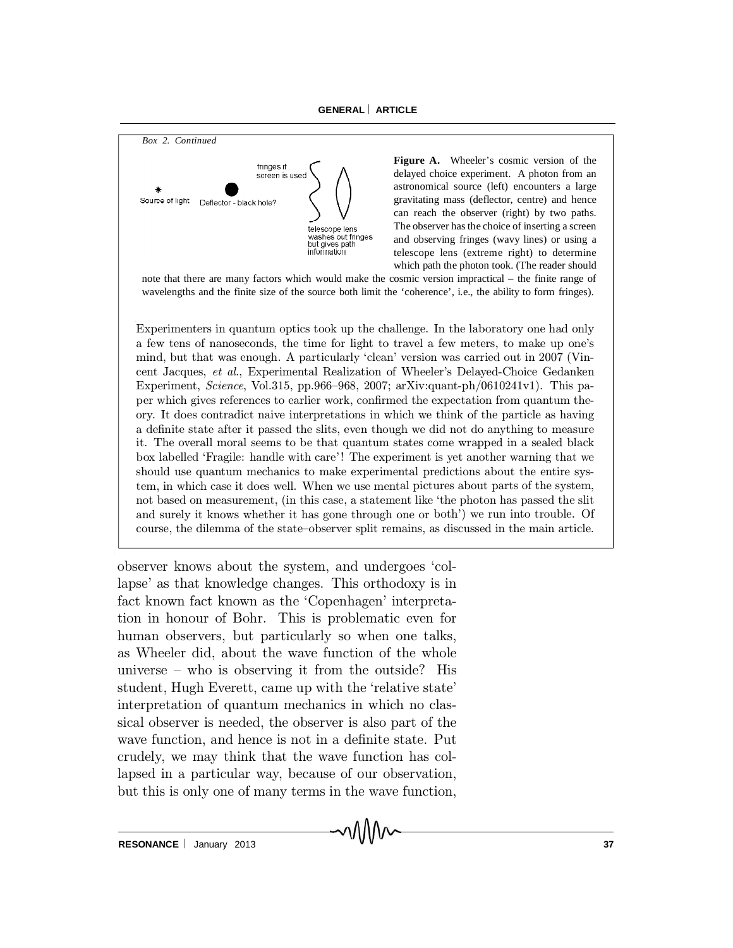

note that there are many factors which would make the cosmic version impractical – the finite range of wavelengths and the finite size of the source both limit the 'coherence', i.e., the ability to form fringes).

Experimenters in quantum optics took up the challenge. In the laboratory one had only a few tens of nanoseconds, the time for light to travel a few meters, to make up one's mind, but that was enough. A particularly 'clean' version was carried out in 2007 (Vincent Jacques, et al., Experimental Realization of Wheeler's Delayed-Choice Gedanken Experiment, Science, Vol.315, pp.966-968, 2007; arXiv:quant-ph/0610241v1). This paper which gives references to earlier work, confirmed the expectation from quantum theory. It does contradict naive interpretations in which we think of the particle as having a definite state after it passed the slits, even though we did not do anything to measure it. The overall moral seems to be that quantum states come wrapped in a sealed black box labelled `Fragile: handle with care'! The experiment is yet another warning that we should use quantum mechanics to make experimental predictions about the entire system, in which case it does well. When we use mental pictures about parts of the system, not based on measurement, (in this case, a statement like 'the photon has passed the slit and surely it knows whether it has gone through one or both') we run into trouble. Of course, the dilemma of the state-observer split remains, as discussed in the main article.

observer knows about the system, and undergoes `collapse' as that knowledge changes. This orthodoxy is in fact known fact known as the 'Copenhagen' interpretation in honour of Bohr. This is problematic even for human observers, but particularly so when one talks, as Wheeler did, about the wave function of the whole universe  $-$  who is observing it from the outside? His student, Hugh Everett, came up with the `relative state' interpretation of quantum mechanics in which no classical observer is needed, the observer is also part of the wave function, and hence is not in a definite state. Put crudely, we may think that the wave function has collapsed in a particular way, because of our observation, but this is only one of many terms in the wave function,